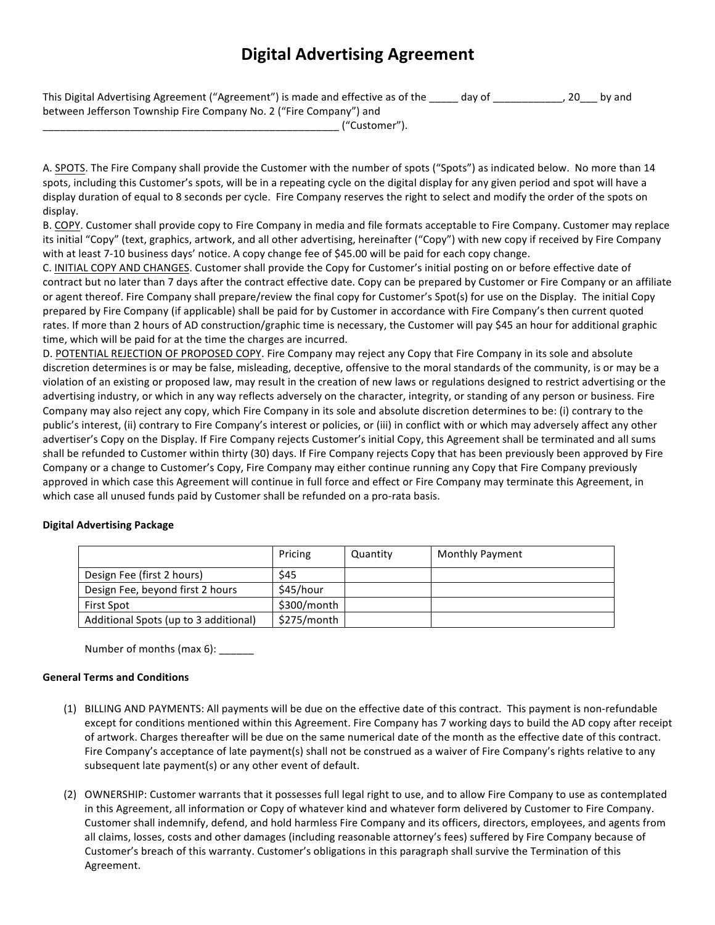## **Digital Advertising Agreement**

| This Digital Advertising Agreement ("Agreement") is made and effective as of the | day of | $, 20$ by and |
|----------------------------------------------------------------------------------|--------|---------------|
| between Jefferson Township Fire Company No. 2 ("Fire Company") and               |        |               |

|  | $\mu$<br>ustomer" |  |
|--|-------------------|--|
|--|-------------------|--|

A. SPOTS. The Fire Company shall provide the Customer with the number of spots ("Spots") as indicated below. No more than 14 spots, including this Customer's spots, will be in a repeating cycle on the digital display for any given period and spot will have a display duration of equal to 8 seconds per cycle. Fire Company reserves the right to select and modify the order of the spots on display.

B. COPY. Customer shall provide copy to Fire Company in media and file formats acceptable to Fire Company. Customer may replace its initial "Copy" (text, graphics, artwork, and all other advertising, hereinafter ("Copy") with new copy if received by Fire Company with at least 7-10 business days' notice. A copy change fee of \$45.00 will be paid for each copy change.

C. INITIAL COPY AND CHANGES. Customer shall provide the Copy for Customer's initial posting on or before effective date of contract but no later than 7 days after the contract effective date. Copy can be prepared by Customer or Fire Company or an affiliate or agent thereof. Fire Company shall prepare/review the final copy for Customer's Spot(s) for use on the Display. The initial Copy prepared by Fire Company (if applicable) shall be paid for by Customer in accordance with Fire Company's then current quoted rates. If more than 2 hours of AD construction/graphic time is necessary, the Customer will pay \$45 an hour for additional graphic time, which will be paid for at the time the charges are incurred.

D. POTENTIAL REJECTION OF PROPOSED COPY. Fire Company may reject any Copy that Fire Company in its sole and absolute discretion determines is or may be false, misleading, deceptive, offensive to the moral standards of the community, is or may be a violation of an existing or proposed law, may result in the creation of new laws or regulations designed to restrict advertising or the advertising industry, or which in any way reflects adversely on the character, integrity, or standing of any person or business. Fire Company may also reject any copy, which Fire Company in its sole and absolute discretion determines to be: (i) contrary to the public's interest, (ii) contrary to Fire Company's interest or policies, or (iii) in conflict with or which may adversely affect any other advertiser's Copy on the Display. If Fire Company rejects Customer's initial Copy, this Agreement shall be terminated and all sums shall be refunded to Customer within thirty (30) days. If Fire Company rejects Copy that has been previously been approved by Fire Company or a change to Customer's Copy, Fire Company may either continue running any Copy that Fire Company previously approved in which case this Agreement will continue in full force and effect or Fire Company may terminate this Agreement, in which case all unused funds paid by Customer shall be refunded on a pro-rata basis.

## **Digital Advertising Package**

|                                       | Pricing                   | Quantity | <b>Monthly Payment</b> |
|---------------------------------------|---------------------------|----------|------------------------|
| Design Fee (first 2 hours)            | <b>\$45</b>               |          |                        |
| Design Fee, beyond first 2 hours      | \$45/hour                 |          |                        |
| <b>First Spot</b>                     | $$300/m$ onth $^{\prime}$ |          |                        |
| Additional Spots (up to 3 additional) | \$275/month               |          |                        |

Number of months (max 6): \_\_\_\_\_\_

## **General Terms and Conditions**

- (1) BILLING AND PAYMENTS: All payments will be due on the effective date of this contract. This payment is non-refundable except for conditions mentioned within this Agreement. Fire Company has 7 working days to build the AD copy after receipt of artwork. Charges thereafter will be due on the same numerical date of the month as the effective date of this contract. Fire Company's acceptance of late payment(s) shall not be construed as a waiver of Fire Company's rights relative to any subsequent late payment(s) or any other event of default.
- (2) OWNERSHIP: Customer warrants that it possesses full legal right to use, and to allow Fire Company to use as contemplated in this Agreement, all information or Copy of whatever kind and whatever form delivered by Customer to Fire Company. Customer shall indemnify, defend, and hold harmless Fire Company and its officers, directors, employees, and agents from all claims, losses, costs and other damages (including reasonable attorney's fees) suffered by Fire Company because of Customer's breach of this warranty. Customer's obligations in this paragraph shall survive the Termination of this Agreement.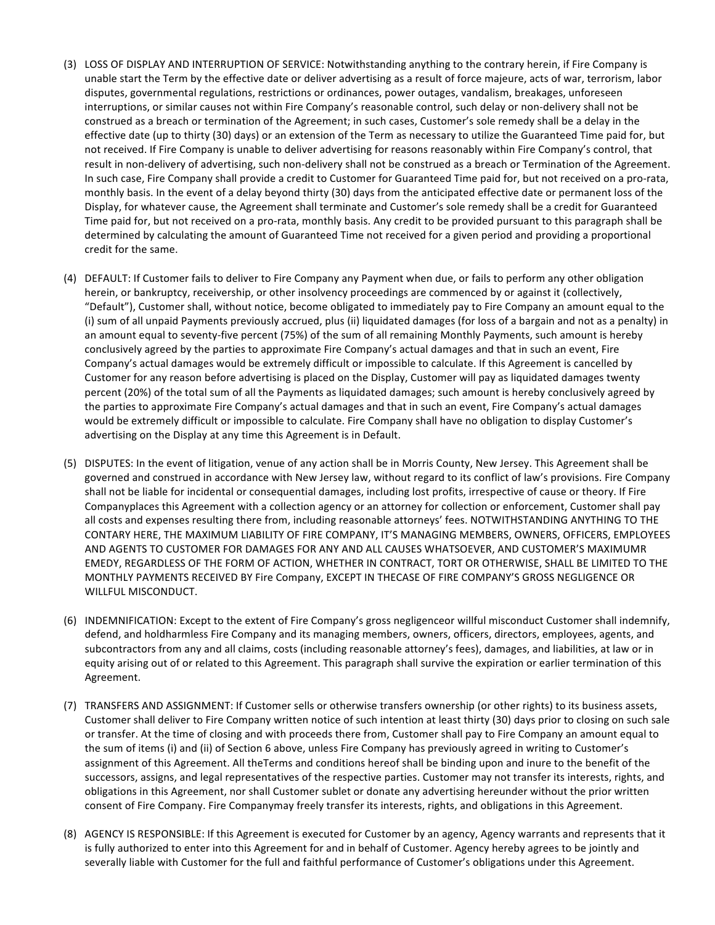- (3) LOSS OF DISPLAY AND INTERRUPTION OF SERVICE: Notwithstanding anything to the contrary herein, if Fire Company is unable start the Term by the effective date or deliver advertising as a result of force majeure, acts of war, terrorism, labor disputes, governmental regulations, restrictions or ordinances, power outages, vandalism, breakages, unforeseen interruptions, or similar causes not within Fire Company's reasonable control, such delay or non-delivery shall not be construed as a breach or termination of the Agreement; in such cases, Customer's sole remedy shall be a delay in the effective date (up to thirty (30) days) or an extension of the Term as necessary to utilize the Guaranteed Time paid for, but not received. If Fire Company is unable to deliver advertising for reasons reasonably within Fire Company's control, that result in non-delivery of advertising, such non-delivery shall not be construed as a breach or Termination of the Agreement. In such case, Fire Company shall provide a credit to Customer for Guaranteed Time paid for, but not received on a pro-rata, monthly basis. In the event of a delay beyond thirty (30) days from the anticipated effective date or permanent loss of the Display, for whatever cause, the Agreement shall terminate and Customer's sole remedy shall be a credit for Guaranteed Time paid for, but not received on a pro-rata, monthly basis. Any credit to be provided pursuant to this paragraph shall be determined by calculating the amount of Guaranteed Time not received for a given period and providing a proportional credit for the same.
- (4) DEFAULT: If Customer fails to deliver to Fire Company any Payment when due, or fails to perform any other obligation herein, or bankruptcy, receivership, or other insolvency proceedings are commenced by or against it (collectively, "Default"), Customer shall, without notice, become obligated to immediately pay to Fire Company an amount equal to the (i) sum of all unpaid Payments previously accrued, plus (ii) liquidated damages (for loss of a bargain and not as a penalty) in an amount equal to seventy-five percent (75%) of the sum of all remaining Monthly Payments, such amount is hereby conclusively agreed by the parties to approximate Fire Company's actual damages and that in such an event, Fire Company's actual damages would be extremely difficult or impossible to calculate. If this Agreement is cancelled by Customer for any reason before advertising is placed on the Display, Customer will pay as liquidated damages twenty percent (20%) of the total sum of all the Payments as liquidated damages; such amount is hereby conclusively agreed by the parties to approximate Fire Company's actual damages and that in such an event, Fire Company's actual damages would be extremely difficult or impossible to calculate. Fire Company shall have no obligation to display Customer's advertising on the Display at any time this Agreement is in Default.
- (5) DISPUTES: In the event of litigation, venue of any action shall be in Morris County, New Jersey. This Agreement shall be governed and construed in accordance with New Jersey law, without regard to its conflict of law's provisions. Fire Company shall not be liable for incidental or consequential damages, including lost profits, irrespective of cause or theory. If Fire Companyplaces this Agreement with a collection agency or an attorney for collection or enforcement, Customer shall pay all costs and expenses resulting there from, including reasonable attorneys' fees. NOTWITHSTANDING ANYTHING TO THE CONTARY HERE, THE MAXIMUM LIABILITY OF FIRE COMPANY, IT'S MANAGING MEMBERS, OWNERS, OFFICERS, EMPLOYEES AND AGENTS TO CUSTOMER FOR DAMAGES FOR ANY AND ALL CAUSES WHATSOEVER, AND CUSTOMER'S MAXIMUMR EMEDY, REGARDLESS OF THE FORM OF ACTION, WHETHER IN CONTRACT, TORT OR OTHERWISE, SHALL BE LIMITED TO THE MONTHLY PAYMENTS RECEIVED BY Fire Company, EXCEPT IN THECASE OF FIRE COMPANY'S GROSS NEGLIGENCE OR WILLFUL MISCONDUCT.
- (6) INDEMNIFICATION: Except to the extent of Fire Company's gross negligenceor willful misconduct Customer shall indemnify, defend, and holdharmless Fire Company and its managing members, owners, officers, directors, employees, agents, and subcontractors from any and all claims, costs (including reasonable attorney's fees), damages, and liabilities, at law or in equity arising out of or related to this Agreement. This paragraph shall survive the expiration or earlier termination of this Agreement.
- (7) TRANSFERS AND ASSIGNMENT: If Customer sells or otherwise transfers ownership (or other rights) to its business assets, Customer shall deliver to Fire Company written notice of such intention at least thirty (30) days prior to closing on such sale or transfer. At the time of closing and with proceeds there from, Customer shall pay to Fire Company an amount equal to the sum of items (i) and (ii) of Section 6 above, unless Fire Company has previously agreed in writing to Customer's assignment of this Agreement. All theTerms and conditions hereof shall be binding upon and inure to the benefit of the successors, assigns, and legal representatives of the respective parties. Customer may not transfer its interests, rights, and obligations in this Agreement, nor shall Customer sublet or donate any advertising hereunder without the prior written consent of Fire Company. Fire Companymay freely transfer its interests, rights, and obligations in this Agreement.
- (8) AGENCY IS RESPONSIBLE: If this Agreement is executed for Customer by an agency, Agency warrants and represents that it is fully authorized to enter into this Agreement for and in behalf of Customer. Agency hereby agrees to be jointly and severally liable with Customer for the full and faithful performance of Customer's obligations under this Agreement.